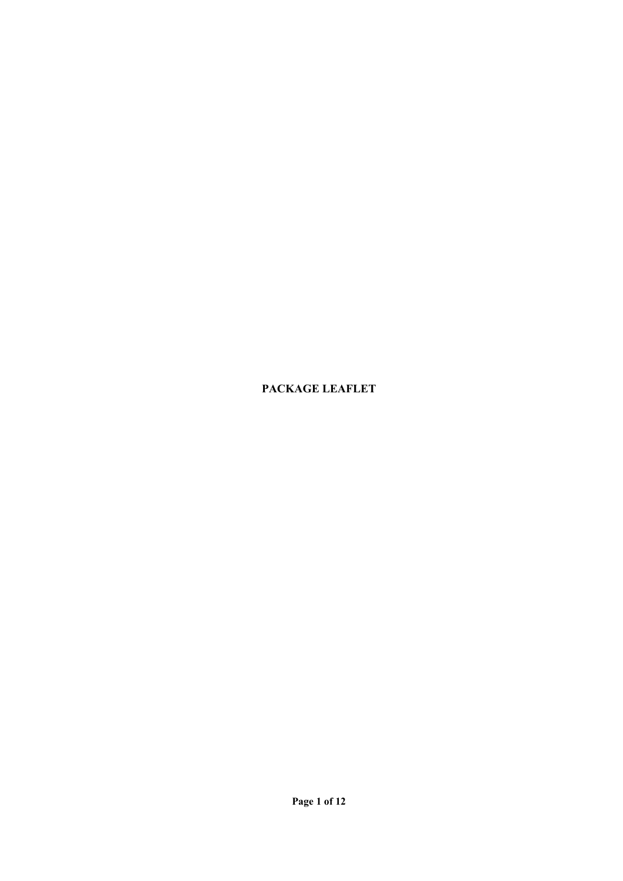**PACKAGE LEAFLET**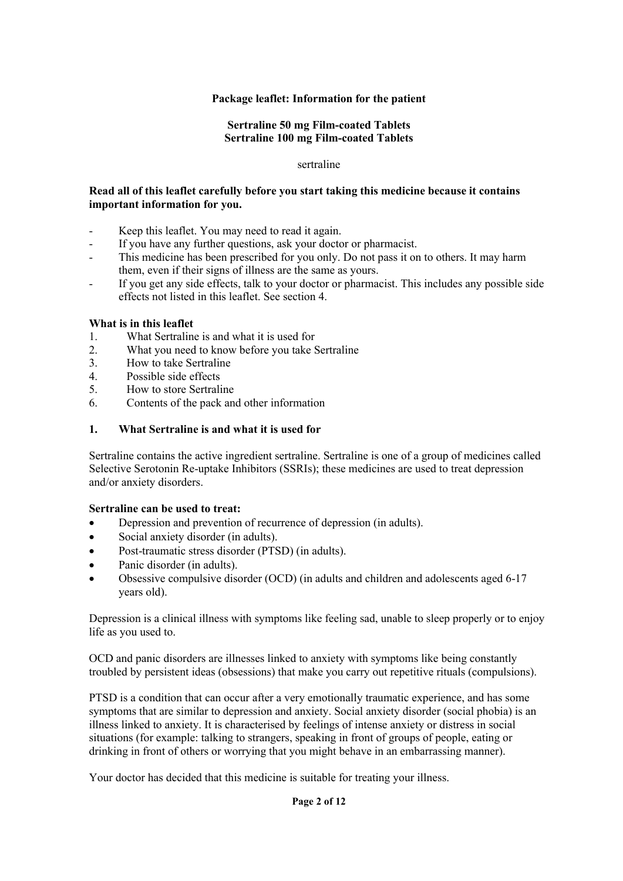## **Package leaflet: Information for the patient**

### **Sertraline 50 mg Film-coated Tablets Sertraline 100 mg Film-coated Tablets**

#### sertraline

### **Read all of this leaflet carefully before you start taking this medicine because it contains important information for you.**

- Keep this leaflet. You may need to read it again.
- If you have any further questions, ask your doctor or pharmacist.
- This medicine has been prescribed for you only. Do not pass it on to others. It may harm them, even if their signs of illness are the same as yours.
- If you get any side effects, talk to your doctor or pharmacist. This includes any possible side effects not listed in this leaflet. See section 4.

#### **What is in this leaflet**

- 1. What Sertraline is and what it is used for
- 2. What you need to know before you take Sertraline
- 3. How to take Sertraline
- 4. Possible side effects
- 5. How to store Sertraline
- 6. Contents of the pack and other information

### **1. What Sertraline is and what it is used for**

Sertraline contains the active ingredient sertraline. Sertraline is one of a group of medicines called Selective Serotonin Re-uptake Inhibitors (SSRIs); these medicines are used to treat depression and/or anxiety disorders.

### **Sertraline can be used to treat:**

- Depression and prevention of recurrence of depression (in adults).
- Social anxiety disorder (in adults).
- Post-traumatic stress disorder (PTSD) (in adults).
- Panic disorder (in adults).
- Obsessive compulsive disorder (OCD) (in adults and children and adolescents aged 6-17 years old).

Depression is a clinical illness with symptoms like feeling sad, unable to sleep properly or to enjoy life as you used to.

OCD and panic disorders are illnesses linked to anxiety with symptoms like being constantly troubled by persistent ideas (obsessions) that make you carry out repetitive rituals (compulsions).

PTSD is a condition that can occur after a very emotionally traumatic experience, and has some symptoms that are similar to depression and anxiety. Social anxiety disorder (social phobia) is an illness linked to anxiety. It is characterised by feelings of intense anxiety or distress in social situations (for example: talking to strangers, speaking in front of groups of people, eating or drinking in front of others or worrying that you might behave in an embarrassing manner).

Your doctor has decided that this medicine is suitable for treating your illness.

#### **Page 2 of 12**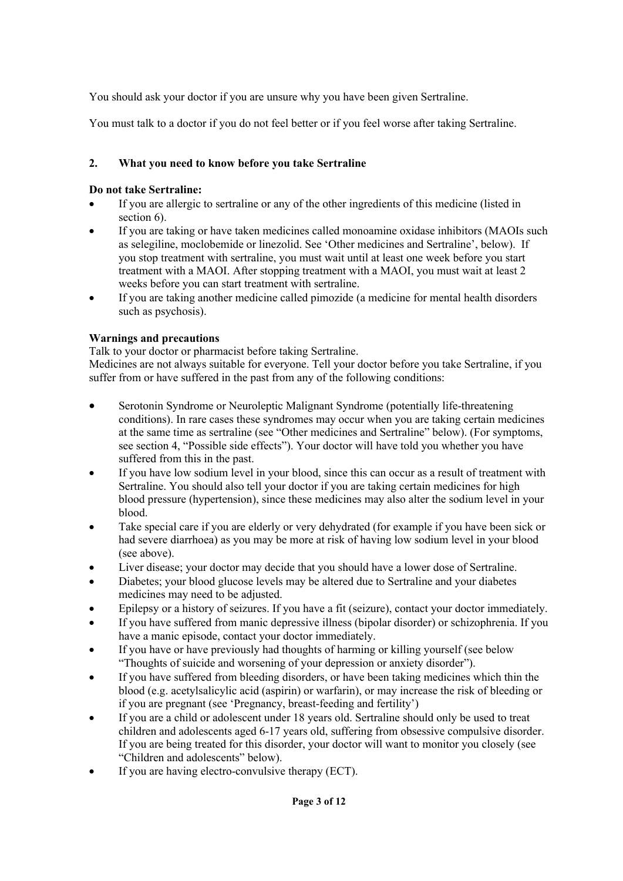You should ask your doctor if you are unsure why you have been given Sertraline.

You must talk to a doctor if you do not feel better or if you feel worse after taking Sertraline.

# **2. What you need to know before you take Sertraline**

## **Do not take Sertraline:**

- If you are allergic to sertraline or any of the other ingredients of this medicine (listed in section 6).
- If you are taking or have taken medicines called monoamine oxidase inhibitors (MAOIs such as selegiline, moclobemide or linezolid. See 'Other medicines and Sertraline', below). If you stop treatment with sertraline, you must wait until at least one week before you start treatment with a MAOI. After stopping treatment with a MAOI, you must wait at least 2 weeks before you can start treatment with sertraline.
- If you are taking another medicine called pimozide (a medicine for mental health disorders such as psychosis).

# **Warnings and precautions**

Talk to your doctor or pharmacist before taking Sertraline.

Medicines are not always suitable for everyone. Tell your doctor before you take Sertraline, if you suffer from or have suffered in the past from any of the following conditions:

- Serotonin Syndrome or Neuroleptic Malignant Syndrome (potentially life-threatening conditions). In rare cases these syndromes may occur when you are taking certain medicines at the same time as sertraline (see "Other medicines and Sertraline" below). (For symptoms, see section 4, "Possible side effects"). Your doctor will have told you whether you have suffered from this in the past.
- If you have low sodium level in your blood, since this can occur as a result of treatment with Sertraline. You should also tell your doctor if you are taking certain medicines for high blood pressure (hypertension), since these medicines may also alter the sodium level in your blood.
- Take special care if you are elderly or very dehydrated (for example if you have been sick or had severe diarrhoea) as you may be more at risk of having low sodium level in your blood (see above).
- Liver disease; your doctor may decide that you should have a lower dose of Sertraline.
- Diabetes; your blood glucose levels may be altered due to Sertraline and your diabetes medicines may need to be adjusted.
- Epilepsy or a history of seizures. If you have a fit (seizure), contact your doctor immediately.
- If you have suffered from manic depressive illness (bipolar disorder) or schizophrenia. If you have a manic episode, contact your doctor immediately.
- If you have or have previously had thoughts of harming or killing yourself (see below "Thoughts of suicide and worsening of your depression or anxiety disorder").
- If you have suffered from bleeding disorders, or have been taking medicines which thin the blood (e.g. acetylsalicylic acid (aspirin) or warfarin), or may increase the risk of bleeding or if you are pregnant (see 'Pregnancy, breast-feeding and fertility')
- If you are a child or adolescent under 18 years old. Sertraline should only be used to treat children and adolescents aged 6-17 years old, suffering from obsessive compulsive disorder. If you are being treated for this disorder, your doctor will want to monitor you closely (see "Children and adolescents" below).
- If you are having electro-convulsive therapy (ECT).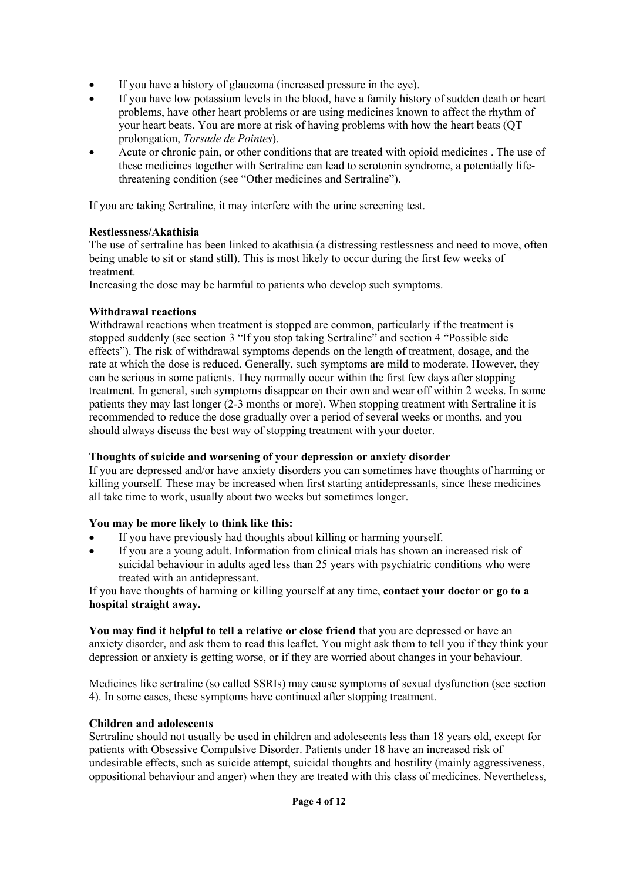- If you have a history of glaucoma (increased pressure in the eye).
- If you have low potassium levels in the blood, have a family history of sudden death or heart problems, have other heart problems or are using medicines known to affect the rhythm of your heart beats. You are more at risk of having problems with how the heart beats (QT prolongation, *Torsade de Pointes*).
- Acute or chronic pain, or other conditions that are treated with opioid medicines . The use of these medicines together with Sertraline can lead to serotonin syndrome, a potentially lifethreatening condition (see "Other medicines and Sertraline").

If you are taking Sertraline, it may interfere with the urine screening test.

## **Restlessness/Akathisia**

The use of sertraline has been linked to akathisia (a distressing restlessness and need to move, often being unable to sit or stand still). This is most likely to occur during the first few weeks of treatment.

Increasing the dose may be harmful to patients who develop such symptoms.

## **Withdrawal reactions**

Withdrawal reactions when treatment is stopped are common, particularly if the treatment is stopped suddenly (see section 3 "If you stop taking Sertraline" and section 4 "Possible side effects"). The risk of withdrawal symptoms depends on the length of treatment, dosage, and the rate at which the dose is reduced. Generally, such symptoms are mild to moderate. However, they can be serious in some patients. They normally occur within the first few days after stopping treatment. In general, such symptoms disappear on their own and wear off within 2 weeks. In some patients they may last longer (2-3 months or more). When stopping treatment with Sertraline it is recommended to reduce the dose gradually over a period of several weeks or months, and you should always discuss the best way of stopping treatment with your doctor.

## **Thoughts of suicide and worsening of your depression or anxiety disorder**

If you are depressed and/or have anxiety disorders you can sometimes have thoughts of harming or killing yourself. These may be increased when first starting antidepressants, since these medicines all take time to work, usually about two weeks but sometimes longer.

## **You may be more likely to think like this:**

- If you have previously had thoughts about killing or harming yourself.
- If you are a young adult. Information from clinical trials has shown an increased risk of suicidal behaviour in adults aged less than 25 years with psychiatric conditions who were treated with an antidepressant.

If you have thoughts of harming or killing yourself at any time, **contact your doctor or go to a hospital straight away.**

**You may find it helpful to tell a relative or close friend** that you are depressed or have an anxiety disorder, and ask them to read this leaflet. You might ask them to tell you if they think your depression or anxiety is getting worse, or if they are worried about changes in your behaviour.

Medicines like sertraline (so called SSRIs) may cause symptoms of sexual dysfunction (see section 4). In some cases, these symptoms have continued after stopping treatment.

## **Children and adolescents**

Sertraline should not usually be used in children and adolescents less than 18 years old, except for patients with Obsessive Compulsive Disorder. Patients under 18 have an increased risk of undesirable effects, such as suicide attempt, suicidal thoughts and hostility (mainly aggressiveness, oppositional behaviour and anger) when they are treated with this class of medicines. Nevertheless,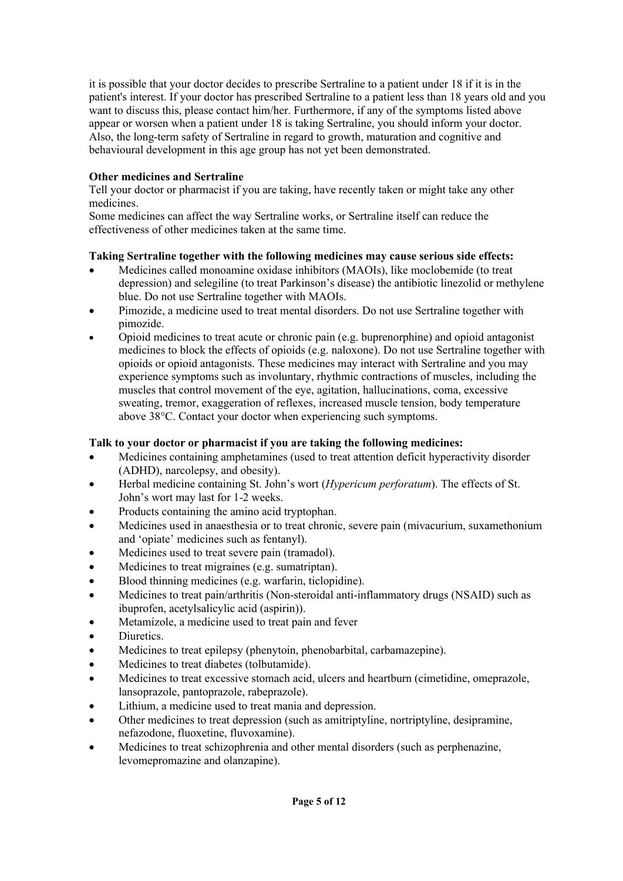it is possible that your doctor decides to prescribe Sertraline to a patient under 18 if it is in the patient's interest. If your doctor has prescribed Sertraline to a patient less than 18 years old and you want to discuss this, please contact him/her. Furthermore, if any of the symptoms listed above appear or worsen when a patient under 18 is taking Sertraline, you should inform your doctor. Also, the long-term safety of Sertraline in regard to growth, maturation and cognitive and behavioural development in this age group has not yet been demonstrated.

## **Other medicines and Sertraline**

Tell your doctor or pharmacist if you are taking, have recently taken or might take any other medicines.

Some medicines can affect the way Sertraline works, or Sertraline itself can reduce the effectiveness of other medicines taken at the same time.

## **Taking Sertraline together with the following medicines may cause serious side effects:**

- Medicines called monoamine oxidase inhibitors (MAOIs), like moclobemide (to treat depression) and selegiline (to treat Parkinson's disease) the antibiotic linezolid or methylene blue. Do not use Sertraline together with MAOIs.
- Pimozide, a medicine used to treat mental disorders. Do not use Sertraline together with pimozide.
- Opioid medicines to treat acute or chronic pain (e.g. buprenorphine) and opioid antagonist medicines to block the effects of opioids (e.g. naloxone). Do not use Sertraline together with opioids or opioid antagonists. These medicines may interact with Sertraline and you may experience symptoms such as involuntary, rhythmic contractions of muscles, including the muscles that control movement of the eye, agitation, hallucinations, coma, excessive sweating, tremor, exaggeration of reflexes, increased muscle tension, body temperature above 38°C. Contact your doctor when experiencing such symptoms.

## **Talk to your doctor or pharmacist if you are taking the following medicines:**

- Medicines containing amphetamines (used to treat attention deficit hyperactivity disorder (ADHD), narcolepsy, and obesity).
- Herbal medicine containing St. John's wort (*Hypericum perforatum*). The effects of St. John's wort may last for 1-2 weeks.
- Products containing the amino acid tryptophan.
- Medicines used in anaesthesia or to treat chronic, severe pain (mivacurium, suxamethonium and 'opiate' medicines such as fentanyl).
- Medicines used to treat severe pain (tramadol).
- Medicines to treat migraines (e.g. sumatriptan).
- Blood thinning medicines (e.g. warfarin, ticlopidine).
- Medicines to treat pain/arthritis (Non-steroidal anti-inflammatory drugs (NSAID) such as ibuprofen, acetylsalicylic acid (aspirin)).
- Metamizole, a medicine used to treat pain and fever
- Diuretics.
- Medicines to treat epilepsy (phenytoin, phenobarbital, carbamazepine).
- Medicines to treat diabetes (tolbutamide).
- Medicines to treat excessive stomach acid, ulcers and heartburn (cimetidine, omeprazole, lansoprazole, pantoprazole, rabeprazole).
- Lithium, a medicine used to treat mania and depression.
- Other medicines to treat depression (such as amitriptyline, nortriptyline, desipramine, nefazodone, fluoxetine, fluvoxamine).
- Medicines to treat schizophrenia and other mental disorders (such as perphenazine, levomepromazine and olanzapine).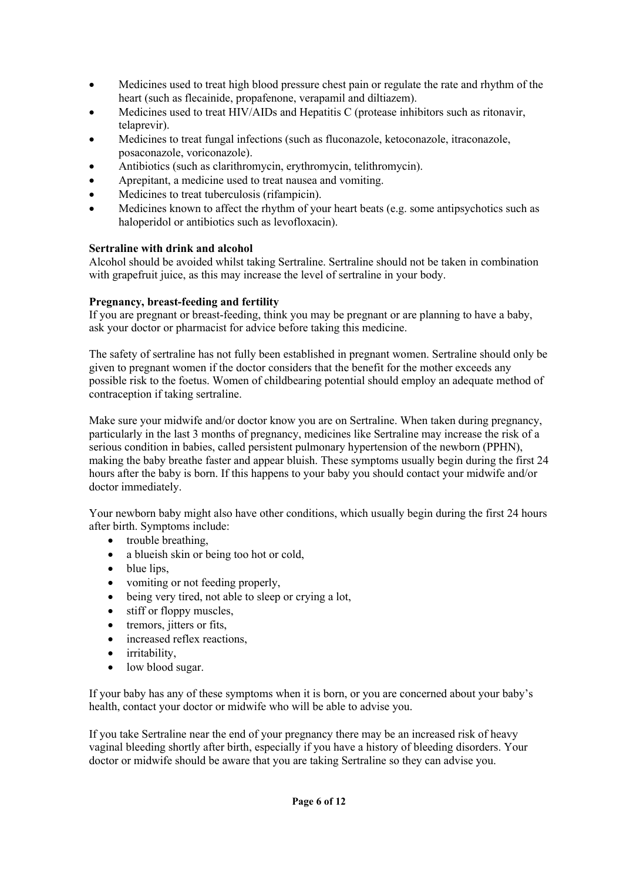- Medicines used to treat high blood pressure chest pain or regulate the rate and rhythm of the heart (such as flecainide, propafenone, verapamil and diltiazem).
- Medicines used to treat HIV/AIDs and Hepatitis C (protease inhibitors such as ritonavir, telaprevir).
- Medicines to treat fungal infections (such as fluconazole, ketoconazole, itraconazole, posaconazole, voriconazole).
- Antibiotics (such as clarithromycin, erythromycin, telithromycin).
- Aprepitant, a medicine used to treat nausea and vomiting.
- Medicines to treat tuberculosis (rifampicin).
- Medicines known to affect the rhythm of your heart beats (e.g. some antipsychotics such as haloperidol or antibiotics such as levofloxacin).

## **Sertraline with drink and alcohol**

Alcohol should be avoided whilst taking Sertraline. Sertraline should not be taken in combination with grapefruit juice, as this may increase the level of sertraline in your body.

### **Pregnancy, breast-feeding and fertility**

If you are pregnant or breast-feeding, think you may be pregnant or are planning to have a baby, ask your doctor or pharmacist for advice before taking this medicine.

The safety of sertraline has not fully been established in pregnant women. Sertraline should only be given to pregnant women if the doctor considers that the benefit for the mother exceeds any possible risk to the foetus. Women of childbearing potential should employ an adequate method of contraception if taking sertraline.

Make sure your midwife and/or doctor know you are on Sertraline. When taken during pregnancy, particularly in the last 3 months of pregnancy, medicines like Sertraline may increase the risk of a serious condition in babies, called persistent pulmonary hypertension of the newborn (PPHN), making the baby breathe faster and appear bluish. These symptoms usually begin during the first 24 hours after the baby is born. If this happens to your baby you should contact your midwife and/or doctor immediately.

Your newborn baby might also have other conditions, which usually begin during the first 24 hours after birth. Symptoms include:

- trouble breathing,
- a blueish skin or being too hot or cold,
- $\bullet$  blue lips,
- vomiting or not feeding properly,
- being very tired, not able to sleep or crying a lot,
- stiff or floppy muscles,
- tremors, jitters or fits,
- increased reflex reactions,
- irritability,
- low blood sugar.

If your baby has any of these symptoms when it is born, or you are concerned about your baby's health, contact your doctor or midwife who will be able to advise you.

If you take Sertraline near the end of your pregnancy there may be an increased risk of heavy vaginal bleeding shortly after birth, especially if you have a history of bleeding disorders. Your doctor or midwife should be aware that you are taking Sertraline so they can advise you.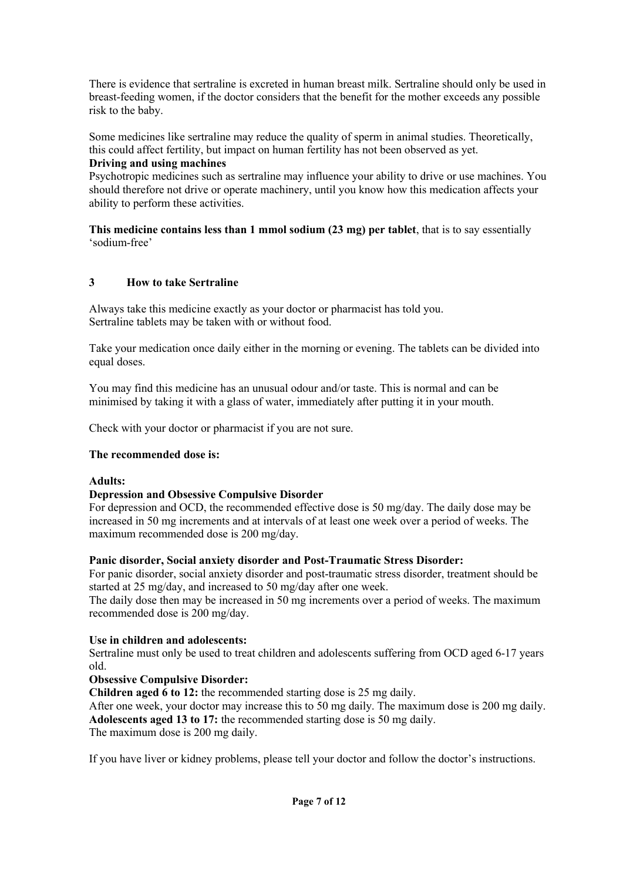There is evidence that sertraline is excreted in human breast milk. Sertraline should only be used in breast-feeding women, if the doctor considers that the benefit for the mother exceeds any possible risk to the baby.

Some medicines like sertraline may reduce the quality of sperm in animal studies. Theoretically, this could affect fertility, but impact on human fertility has not been observed as yet.

### **Driving and using machines**

Psychotropic medicines such as sertraline may influence your ability to drive or use machines. You should therefore not drive or operate machinery, until you know how this medication affects your ability to perform these activities.

**This medicine contains less than 1 mmol sodium (23 mg) per tablet**, that is to say essentially 'sodium-free'

## **3 How to take Sertraline**

Always take this medicine exactly as your doctor or pharmacist has told you. Sertraline tablets may be taken with or without food.

Take your medication once daily either in the morning or evening. The tablets can be divided into equal doses.

You may find this medicine has an unusual odour and/or taste. This is normal and can be minimised by taking it with a glass of water, immediately after putting it in your mouth.

Check with your doctor or pharmacist if you are not sure.

#### **The recommended dose is:**

#### **Adults:**

#### **Depression and Obsessive Compulsive Disorder**

For depression and OCD, the recommended effective dose is 50 mg/day. The daily dose may be increased in 50 mg increments and at intervals of at least one week over a period of weeks. The maximum recommended dose is 200 mg/day.

#### **Panic disorder, Social anxiety disorder and Post-Traumatic Stress Disorder:**

For panic disorder, social anxiety disorder and post-traumatic stress disorder, treatment should be started at 25 mg/day, and increased to 50 mg/day after one week.

The daily dose then may be increased in 50 mg increments over a period of weeks. The maximum recommended dose is 200 mg/day.

#### **Use in children and adolescents:**

Sertraline must only be used to treat children and adolescents suffering from OCD aged 6-17 years old.

### **Obsessive Compulsive Disorder:**

**Children aged 6 to 12:** the recommended starting dose is 25 mg daily.

After one week, your doctor may increase this to 50 mg daily. The maximum dose is 200 mg daily. **Adolescents aged 13 to 17:** the recommended starting dose is 50 mg daily.

The maximum dose is 200 mg daily.

If you have liver or kidney problems, please tell your doctor and follow the doctor's instructions.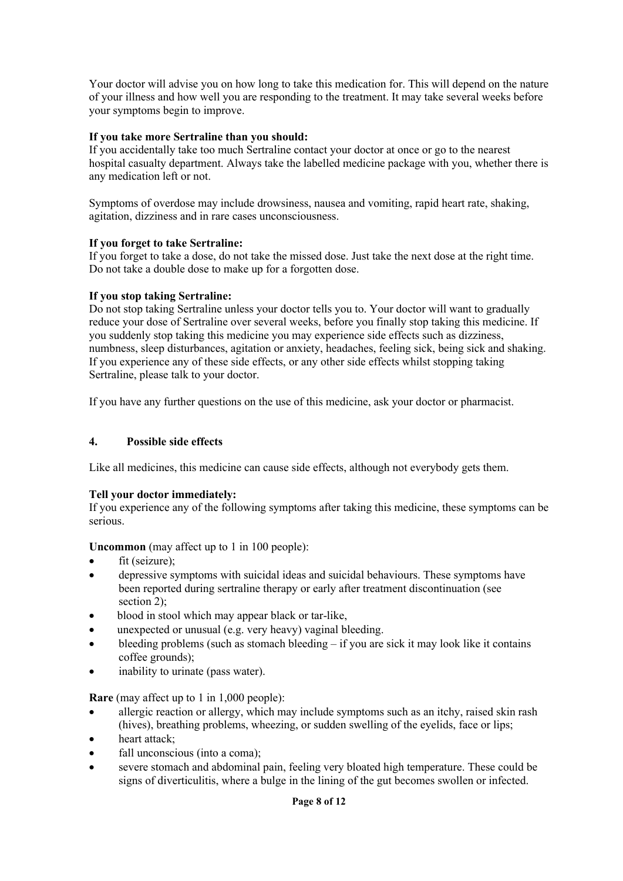Your doctor will advise you on how long to take this medication for. This will depend on the nature of your illness and how well you are responding to the treatment. It may take several weeks before your symptoms begin to improve.

### **If you take more Sertraline than you should:**

If you accidentally take too much Sertraline contact your doctor at once or go to the nearest hospital casualty department. Always take the labelled medicine package with you, whether there is any medication left or not.

Symptoms of overdose may include drowsiness, nausea and vomiting, rapid heart rate, shaking, agitation, dizziness and in rare cases unconsciousness.

### **If you forget to take Sertraline:**

If you forget to take a dose, do not take the missed dose. Just take the next dose at the right time. Do not take a double dose to make up for a forgotten dose.

### **If you stop taking Sertraline:**

Do not stop taking Sertraline unless your doctor tells you to. Your doctor will want to gradually reduce your dose of Sertraline over several weeks, before you finally stop taking this medicine. If you suddenly stop taking this medicine you may experience side effects such as dizziness, numbness, sleep disturbances, agitation or anxiety, headaches, feeling sick, being sick and shaking. If you experience any of these side effects, or any other side effects whilst stopping taking Sertraline, please talk to your doctor.

If you have any further questions on the use of this medicine, ask your doctor or pharmacist.

### **4. Possible side effects**

Like all medicines, this medicine can cause side effects, although not everybody gets them.

#### **Tell your doctor immediately:**

If you experience any of the following symptoms after taking this medicine, these symptoms can be serious.

**Uncommon** (may affect up to 1 in 100 people):

- $\bullet$  fit (seizure);
- depressive symptoms with suicidal ideas and suicidal behaviours. These symptoms have been reported during sertraline therapy or early after treatment discontinuation (see section 2):
- blood in stool which may appear black or tar-like,
- unexpected or unusual (e.g. very heavy) vaginal bleeding.
- bleeding problems (such as stomach bleeding if you are sick it may look like it contains coffee grounds);
- inability to urinate (pass water).

**Rare** (may affect up to 1 in 1,000 people):

- allergic reaction or allergy, which may include symptoms such as an itchy, raised skin rash (hives), breathing problems, wheezing, or sudden swelling of the eyelids, face or lips;
- heart attack:
- fall unconscious (into a coma);
- severe stomach and abdominal pain, feeling very bloated high temperature. These could be signs of diverticulitis, where a bulge in the lining of the gut becomes swollen or infected.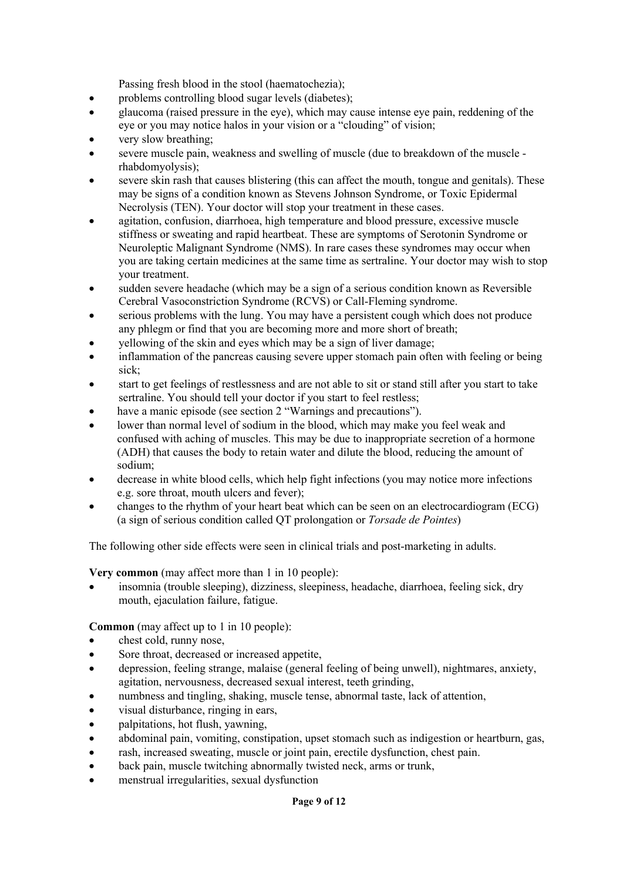Passing fresh blood in the stool (haematochezia);

- problems controlling blood sugar levels (diabetes);
- glaucoma (raised pressure in the eye), which may cause intense eye pain, reddening of the eye or you may notice halos in your vision or a "clouding" of vision;
- very slow breathing;
- severe muscle pain, weakness and swelling of muscle (due to breakdown of the muscle rhabdomyolysis);
- severe skin rash that causes blistering (this can affect the mouth, tongue and genitals). These may be signs of a condition known as Stevens Johnson Syndrome, or Toxic Epidermal Necrolysis (TEN). Your doctor will stop your treatment in these cases.
- agitation, confusion, diarrhoea, high temperature and blood pressure, excessive muscle stiffness or sweating and rapid heartbeat. These are symptoms of Serotonin Syndrome or Neuroleptic Malignant Syndrome (NMS). In rare cases these syndromes may occur when you are taking certain medicines at the same time as sertraline. Your doctor may wish to stop your treatment.
- sudden severe headache (which may be a sign of a serious condition known as Reversible Cerebral Vasoconstriction Syndrome (RCVS) or Call-Fleming syndrome.
- serious problems with the lung. You may have a persistent cough which does not produce any phlegm or find that you are becoming more and more short of breath;
- yellowing of the skin and eyes which may be a sign of liver damage;
- inflammation of the pancreas causing severe upper stomach pain often with feeling or being sick;
- start to get feelings of restlessness and are not able to sit or stand still after you start to take sertraline. You should tell your doctor if you start to feel restless;
- have a manic episode (see section 2 "Warnings and precautions").
- lower than normal level of sodium in the blood, which may make you feel weak and confused with aching of muscles. This may be due to inappropriate secretion of a hormone (ADH) that causes the body to retain water and dilute the blood, reducing the amount of sodium;
- decrease in white blood cells, which help fight infections (you may notice more infections e.g. sore throat, mouth ulcers and fever);
- changes to the rhythm of your heart beat which can be seen on an electrocardiogram (ECG) (a sign of serious condition called QT prolongation or *Torsade de Pointes*)

The following other side effects were seen in clinical trials and post-marketing in adults.

**Very common** (may affect more than 1 in 10 people):

 insomnia (trouble sleeping), dizziness, sleepiness, headache, diarrhoea, feeling sick, dry mouth, ejaculation failure, fatigue.

**Common** (may affect up to 1 in 10 people):

- chest cold, runny nose,
- Sore throat, decreased or increased appetite,
- depression, feeling strange, malaise (general feeling of being unwell), nightmares, anxiety, agitation, nervousness, decreased sexual interest, teeth grinding,
- numbness and tingling, shaking, muscle tense, abnormal taste, lack of attention,
- visual disturbance, ringing in ears,
- palpitations, hot flush, yawning,
- abdominal pain, vomiting, constipation, upset stomach such as indigestion or heartburn, gas,
- rash, increased sweating, muscle or joint pain, erectile dysfunction, chest pain.
- back pain, muscle twitching abnormally twisted neck, arms or trunk,
- menstrual irregularities, sexual dysfunction

#### **Page 9 of 12**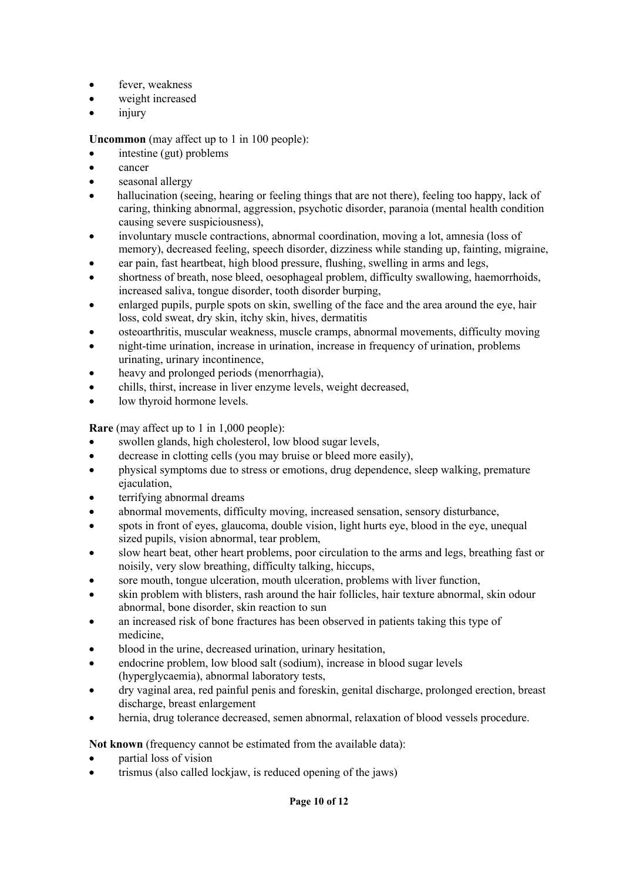- fever, weakness
- weight increased
- injury

**Uncommon** (may affect up to 1 in 100 people):

- intestine (gut) problems
- cancer
- seasonal allergy
- hallucination (seeing, hearing or feeling things that are not there), feeling too happy, lack of caring, thinking abnormal, aggression, psychotic disorder, paranoia (mental health condition causing severe suspiciousness),
- involuntary muscle contractions, abnormal coordination, moving a lot, amnesia (loss of memory), decreased feeling, speech disorder, dizziness while standing up, fainting, migraine,
- ear pain, fast heartbeat, high blood pressure, flushing, swelling in arms and legs,
- shortness of breath, nose bleed, oesophageal problem, difficulty swallowing, haemorrhoids, increased saliva, tongue disorder, tooth disorder burping,
- enlarged pupils, purple spots on skin, swelling of the face and the area around the eye, hair loss, cold sweat, dry skin, itchy skin, hives, dermatitis
- osteoarthritis, muscular weakness, muscle cramps, abnormal movements, difficulty moving
- night-time urination, increase in urination, increase in frequency of urination, problems urinating, urinary incontinence,
- heavy and prolonged periods (menorrhagia),
- chills, thirst, increase in liver enzyme levels, weight decreased,
- low thyroid hormone levels.

**Rare** (may affect up to 1 in 1,000 people):

- swollen glands, high cholesterol, low blood sugar levels,
- decrease in clotting cells (you may bruise or bleed more easily),
- physical symptoms due to stress or emotions, drug dependence, sleep walking, premature ejaculation,
- terrifying abnormal dreams
- abnormal movements, difficulty moving, increased sensation, sensory disturbance,
- spots in front of eyes, glaucoma, double vision, light hurts eye, blood in the eye, unequal sized pupils, vision abnormal, tear problem,
- slow heart beat, other heart problems, poor circulation to the arms and legs, breathing fast or noisily, very slow breathing, difficulty talking, hiccups,
- sore mouth, tongue ulceration, mouth ulceration, problems with liver function,
- skin problem with blisters, rash around the hair follicles, hair texture abnormal, skin odour abnormal, bone disorder, skin reaction to sun
- an increased risk of bone fractures has been observed in patients taking this type of medicine,
- blood in the urine, decreased urination, urinary hesitation,
- endocrine problem, low blood salt (sodium), increase in blood sugar levels (hyperglycaemia), abnormal laboratory tests,
- dry vaginal area, red painful penis and foreskin, genital discharge, prolonged erection, breast discharge, breast enlargement
- hernia, drug tolerance decreased, semen abnormal, relaxation of blood vessels procedure.

**Not known** (frequency cannot be estimated from the available data):

- partial loss of vision
- trismus (also called lockjaw, is reduced opening of the jaws)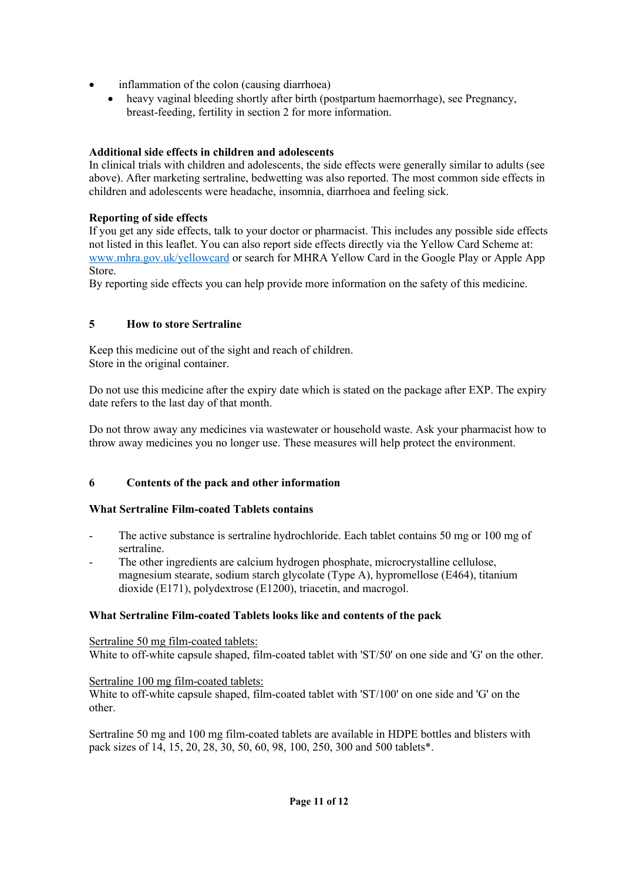- inflammation of the colon (causing diarrhoea)
	- heavy vaginal bleeding shortly after birth (postpartum haemorrhage), see Pregnancy, breast-feeding, fertility in section 2 for more information.

## **Additional side effects in children and adolescents**

In clinical trials with children and adolescents, the side effects were generally similar to adults (see above). After marketing sertraline, bedwetting was also reported. The most common side effects in children and adolescents were headache, insomnia, diarrhoea and feeling sick.

## **Reporting of side effects**

If you get any side effects, talk to your doctor or pharmacist. This includes any possible side effects not listed in this leaflet. You can also report side effects directly via the Yellow Card Scheme at: [www.mhra.gov.uk/yellowcard](http://www.mhra.gov.uk/yellowcard) or search for MHRA Yellow Card in the Google Play or Apple App **Store** 

By reporting side effects you can help provide more information on the safety of this medicine.

## **5 How to store Sertraline**

Keep this medicine out of the sight and reach of children. Store in the original container.

Do not use this medicine after the expiry date which is stated on the package after EXP. The expiry date refers to the last day of that month.

Do not throw away any medicines via wastewater or household waste. Ask your pharmacist how to throw away medicines you no longer use. These measures will help protect the environment.

# **6 Contents of the pack and other information**

## **What Sertraline Film-coated Tablets contains**

- The active substance is sertraline hydrochloride. Each tablet contains 50 mg or 100 mg of sertraline.
- The other ingredients are calcium hydrogen phosphate, microcrystalline cellulose, magnesium stearate, sodium starch glycolate (Type A), hypromellose (E464), titanium dioxide (E171), polydextrose (E1200), triacetin, and macrogol.

## **What Sertraline Film-coated Tablets looks like and contents of the pack**

Sertraline 50 mg film-coated tablets: White to off-white capsule shaped, film-coated tablet with 'ST/50' on one side and 'G' on the other.

Sertraline 100 mg film-coated tablets:

White to off-white capsule shaped, film-coated tablet with 'ST/100' on one side and 'G' on the other.

Sertraline 50 mg and 100 mg film-coated tablets are available in HDPE bottles and blisters with pack sizes of 14, 15, 20, 28, 30, 50, 60, 98, 100, 250, 300 and 500 tablets\*.